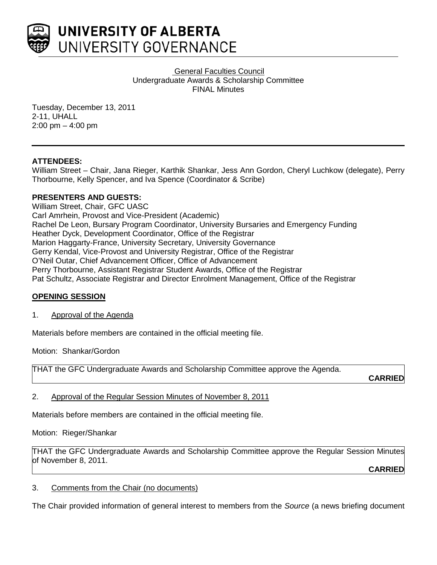

General Faculties Council Undergraduate Awards & Scholarship Committee FINAL Minutes

Tuesday, December 13, 2011 2-11, UHALL 2:00 pm – 4:00 pm

## **ATTENDEES:**

William Street – Chair, Jana Rieger, Karthik Shankar, Jess Ann Gordon, Cheryl Luchkow (delegate), Perry Thorbourne, Kelly Spencer, and Iva Spence (Coordinator & Scribe)

## **PRESENTERS AND GUESTS:**

William Street, Chair, GFC UASC Carl Amrhein, Provost and Vice-President (Academic) Rachel De Leon, Bursary Program Coordinator, University Bursaries and Emergency Funding Heather Dyck, Development Coordinator, Office of the Registrar Marion Haggarty-France, University Secretary, University Governance Gerry Kendal, Vice-Provost and University Registrar, Office of the Registrar O'Neil Outar, Chief Advancement Officer, Office of Advancement Perry Thorbourne, Assistant Registrar Student Awards, Office of the Registrar Pat Schultz, Associate Registrar and Director Enrolment Management, Office of the Registrar

## **OPENING SESSION**

## 1. Approval of the Agenda

Materials before members are contained in the official meeting file.

Motion: Shankar/Gordon

THAT the GFC Undergraduate Awards and Scholarship Committee approve the Agenda.

**CARRIED**

2. Approval of the Regular Session Minutes of November 8, 2011

Materials before members are contained in the official meeting file.

## Motion: Rieger/Shankar

THAT the GFC Undergraduate Awards and Scholarship Committee approve the Regular Session Minutes of November 8, 2011.

**CARRIED**

## 3. Comments from the Chair (no documents)

The Chair provided information of general interest to members from the *Source* (a news briefing document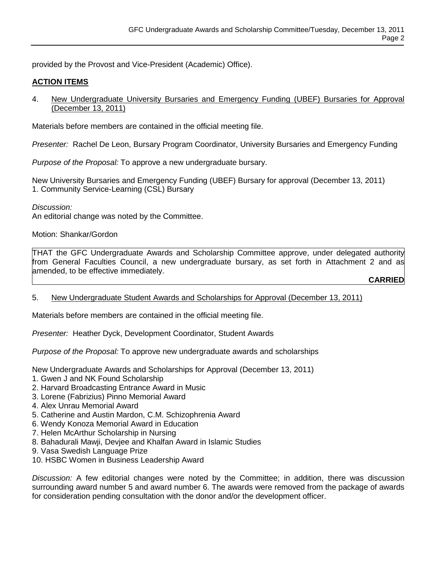provided by the Provost and Vice-President (Academic) Office).

## **ACTION ITEMS**

4. New Undergraduate University Bursaries and Emergency Funding (UBEF) Bursaries for Approval (December 13, 2011)

Materials before members are contained in the official meeting file.

*Presenter:* Rachel De Leon, Bursary Program Coordinator, University Bursaries and Emergency Funding

*Purpose of the Proposal:* To approve a new undergraduate bursary.

New University Bursaries and Emergency Funding (UBEF) Bursary for approval (December 13, 2011) 1. Community Service-Learning (CSL) Bursary

*Discussion:* An editorial change was noted by the Committee.

Motion: Shankar/Gordon

THAT the GFC Undergraduate Awards and Scholarship Committee approve, under delegated authority from General Faculties Council, a new undergraduate bursary, as set forth in Attachment 2 and as amended, to be effective immediately.

**CARRIED**

## 5. New Undergraduate Student Awards and Scholarships for Approval (December 13, 2011)

Materials before members are contained in the official meeting file.

*Presenter:* Heather Dyck, Development Coordinator, Student Awards

*Purpose of the Proposal:* To approve new undergraduate awards and scholarships

New Undergraduate Awards and Scholarships for Approval (December 13, 2011)

- 1. Gwen J and NK Found Scholarship
- 2. Harvard Broadcasting Entrance Award in Music
- 3. Lorene (Fabrizius) Pinno Memorial Award
- 4. Alex Unrau Memorial Award
- 5. Catherine and Austin Mardon, C.M. Schizophrenia Award
- 6. Wendy Konoza Memorial Award in Education
- 7. Helen McArthur Scholarship in Nursing
- 8. Bahadurali Mawji, Devjee and Khalfan Award in Islamic Studies
- 9. Vasa Swedish Language Prize
- 10. HSBC Women in Business Leadership Award

*Discussion:* A few editorial changes were noted by the Committee; in addition, there was discussion surrounding award number 5 and award number 6. The awards were removed from the package of awards for consideration pending consultation with the donor and/or the development officer.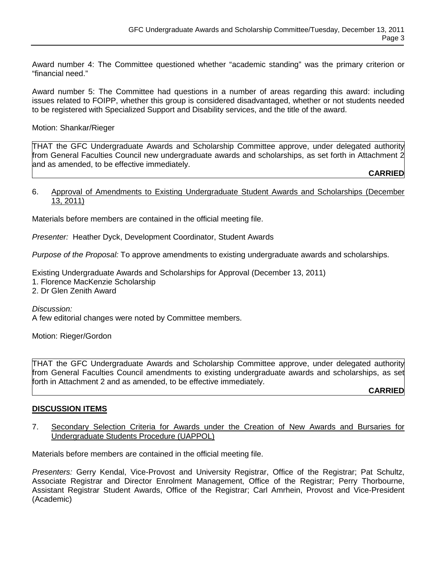Award number 4: The Committee questioned whether "academic standing" was the primary criterion or "financial need."

Award number 5: The Committee had questions in a number of areas regarding this award: including issues related to FOIPP, whether this group is considered disadvantaged, whether or not students needed to be registered with Specialized Support and Disability services, and the title of the award.

Motion: Shankar/Rieger

THAT the GFC Undergraduate Awards and Scholarship Committee approve, under delegated authority from General Faculties Council new undergraduate awards and scholarships, as set forth in Attachment 2 and as amended, to be effective immediately.

**CARRIED**

#### 6. Approval of Amendments to Existing Undergraduate Student Awards and Scholarships (December 13, 2011)

Materials before members are contained in the official meeting file.

*Presenter:* Heather Dyck, Development Coordinator, Student Awards

*Purpose of the Proposal:* To approve amendments to existing undergraduate awards and scholarships.

Existing Undergraduate Awards and Scholarships for Approval (December 13, 2011)

- 1. Florence MacKenzie Scholarship
- 2. Dr Glen Zenith Award

*Discussion:*

A few editorial changes were noted by Committee members.

Motion: Rieger/Gordon

THAT the GFC Undergraduate Awards and Scholarship Committee approve, under delegated authority from General Faculties Council amendments to existing undergraduate awards and scholarships, as set forth in Attachment 2 and as amended, to be effective immediately.

**CARRIED**

#### **DISCUSSION ITEMS**

7. Secondary Selection Criteria for Awards under the Creation of New Awards and Bursaries for Undergraduate Students Procedure (UAPPOL)

Materials before members are contained in the official meeting file.

*Presenters:* Gerry Kendal, Vice-Provost and University Registrar, Office of the Registrar; Pat Schultz, Associate Registrar and Director Enrolment Management, Office of the Registrar; Perry Thorbourne, Assistant Registrar Student Awards, Office of the Registrar; Carl Amrhein, Provost and Vice-President (Academic)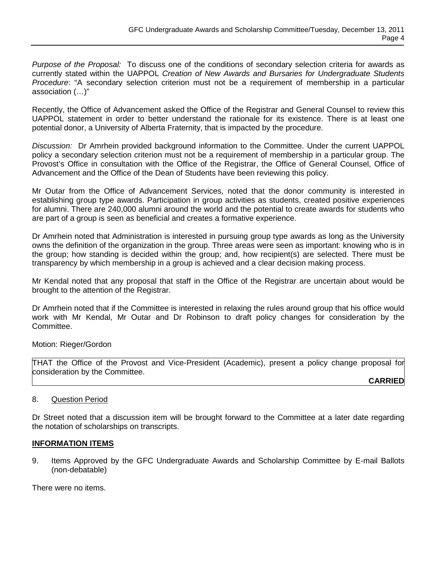*Purpose of the Proposal:* To discuss one of the conditions of secondary selection criteria for awards as currently stated within the UAPPOL *Creation of New Awards and Bursaries for Undergraduate Students Procedure*: "A secondary selection criterion must not be a requirement of membership in a particular association (…)"

Recently, the Office of Advancement asked the Office of the Registrar and General Counsel to review this UAPPOL statement in order to better understand the rationale for its existence. There is at least one potential donor, a University of Alberta Fraternity, that is impacted by the procedure.

*Discussion:* Dr Amrhein provided background information to the Committee. Under the current UAPPOL policy a secondary selection criterion must not be a requirement of membership in a particular group. The Provost's Office in consultation with the Office of the Registrar, the Office of General Counsel, Office of Advancement and the Office of the Dean of Students have been reviewing this policy.

Mr Outar from the Office of Advancement Services, noted that the donor community is interested in establishing group type awards. Participation in group activities as students, created positive experiences for alumni. There are 240,000 alumni around the world and the potential to create awards for students who are part of a group is seen as beneficial and creates a formative experience.

Dr Amrhein noted that Administration is interested in pursuing group type awards as long as the University owns the definition of the organization in the group. Three areas were seen as important: knowing who is in the group; how standing is decided within the group; and, how recipient(s) are selected. There must be transparency by which membership in a group is achieved and a clear decision making process.

Mr Kendal noted that any proposal that staff in the Office of the Registrar are uncertain about would be brought to the attention of the Registrar.

Dr Amrhein noted that if the Committee is interested in relaxing the rules around group that his office would work with Mr Kendal, Mr Outar and Dr Robinson to draft policy changes for consideration by the Committee.

Motion: Rieger/Gordon

THAT the Office of the Provost and Vice-President (Academic), present a policy change proposal for consideration by the Committee.

**CARRIED**

## 8. Question Period

Dr Street noted that a discussion item will be brought forward to the Committee at a later date regarding the notation of scholarships on transcripts.

## **INFORMATION ITEMS**

9. Items Approved by the GFC Undergraduate Awards and Scholarship Committee by E-mail Ballots (non-debatable)

There were no items.